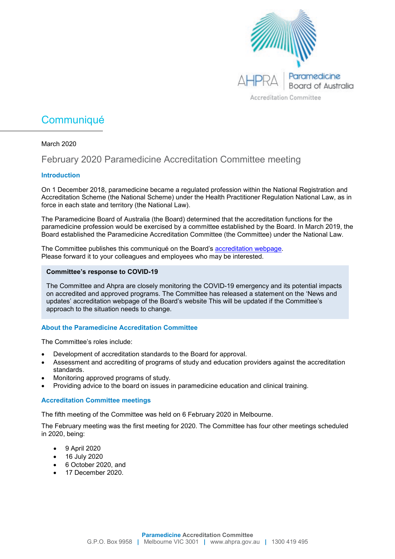

# **Communiqué**

# March 2020

# February 2020 Paramedicine Accreditation Committee meeting

# **Introduction**

On 1 December 2018, paramedicine became a regulated profession within the National Registration and Accreditation Scheme (the National Scheme) under the Health Practitioner Regulation National Law, as in force in each state and territory (the National Law).

The Paramedicine Board of Australia (the Board) determined that the accreditation functions for the paramedicine profession would be exercised by a committee established by the Board. In March 2019, the Board established the Paramedicine Accreditation Committee (the Committee) under the National Law.

The Committee publishes this communiqué on the Board's **accreditation webpage**. Please forward it to your colleagues and employees who may be interested.

### **Committee's response to COVID-19**

The Committee and Ahpra are closely monitoring the COVID-19 emergency and its potential impacts on accredited and approved programs. The Committee has released a statement on the ['News and](https://www.paramedicineboard.gov.au/Accreditation/Updates.aspx)  [updates'](https://www.paramedicineboard.gov.au/Accreditation/Updates.aspx) accreditation webpage of the Board's website This will be updated if the Committee's approach to the situation needs to change.

# **About the Paramedicine Accreditation Committee**

The Committee's roles include:

- Development of accreditation standards to the Board for approval.
- Assessment and accrediting of programs of study and education providers against the accreditation standards.
- Monitoring approved programs of study.
- Providing advice to the board on issues in paramedicine education and clinical training.

# **Accreditation Committee meetings**

The fifth meeting of the Committee was held on 6 February 2020 in Melbourne.

The February meeting was the first meeting for 2020. The Committee has four other meetings scheduled in 2020, being:

- 9 April 2020
- 16 July 2020
- 6 October 2020, and
- 17 December 2020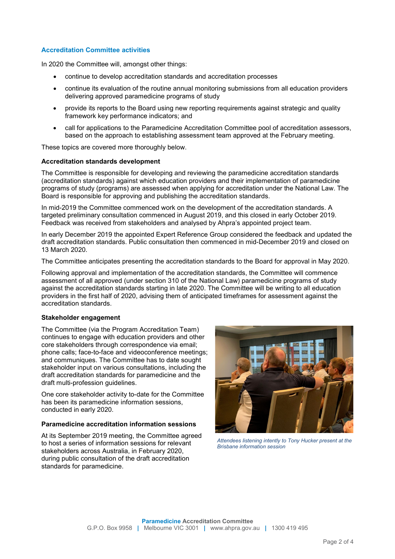## **Accreditation Committee activities**

In 2020 the Committee will, amongst other things:

- continue to develop accreditation standards and accreditation processes
- continue its evaluation of the routine annual monitoring submissions from all education providers delivering approved paramedicine programs of study
- provide its reports to the Board using new reporting requirements against strategic and quality framework key performance indicators; and
- call for applications to the Paramedicine Accreditation Committee pool of accreditation assessors, based on the approach to establishing assessment team approved at the February meeting.

These topics are covered more thoroughly below.

#### **Accreditation standards development**

The Committee is responsible for developing and reviewing the paramedicine accreditation standards (accreditation standards) against which education providers and their implementation of paramedicine programs of study (programs) are assessed when applying for accreditation under the National Law. The Board is responsible for approving and publishing the accreditation standards.

In mid-2019 the Committee commenced work on the development of the accreditation standards. A targeted preliminary consultation commenced in August 2019, and this closed in early October 2019. Feedback was received from stakeholders and analysed by Ahpra's appointed project team.

In early December 2019 the appointed Expert Reference Group considered the feedback and updated the draft accreditation standards. Public consultation then commenced in mid-December 2019 and closed on 13 March 2020.

The Committee anticipates presenting the accreditation standards to the Board for approval in May 2020.

Following approval and implementation of the accreditation standards, the Committee will commence assessment of all approved (under section 310 of the National Law) paramedicine programs of study against the accreditation standards starting in late 2020. The Committee will be writing to all education providers in the first half of 2020, advising them of anticipated timeframes for assessment against the accreditation standards.

#### **Stakeholder engagement**

The Committee (via the Program Accreditation Team) continues to engage with education providers and other core stakeholders through correspondence via email; phone calls; face-to-face and videoconference meetings; and communiques. The Committee has to date sought stakeholder input on various consultations, including the draft accreditation standards for paramedicine and the draft multi-profession guidelines.

One core stakeholder activity to-date for the Committee has been its paramedicine information sessions, conducted in early 2020.

#### **Paramedicine accreditation information sessions**

At its September 2019 meeting, the Committee agreed to host a series of information sessions for relevant stakeholders across Australia, in February 2020, during public consultation of the draft accreditation standards for paramedicine.



*Attendees listening intently to Tony Hucker present at the Brisbane information session*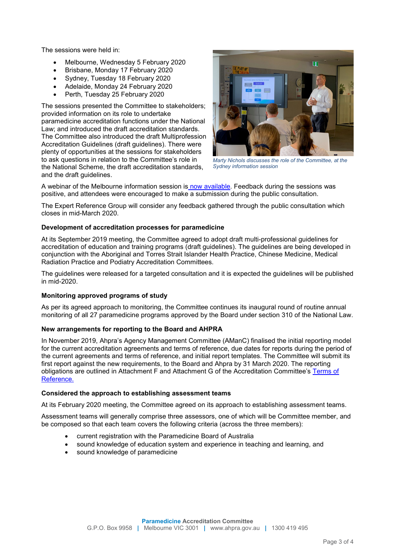The sessions were held in:

- Melbourne, Wednesday 5 February 2020
- Brisbane, Monday 17 February 2020
- Sydney, Tuesday 18 February 2020
- Adelaide, Monday 24 February 2020
- Perth, Tuesday 25 February 2020

The sessions presented the Committee to stakeholders; provided information on its role to undertake paramedicine accreditation functions under the National Law; and introduced the draft accreditation standards. The Committee also introduced the draft Multiprofession Accreditation Guidelines (draft guidelines). There were plenty of opportunities at the sessions for stakeholders to ask questions in relation to the Committee's role in the National Scheme, the draft accreditation standards, and the draft guidelines.



*Marty Nichols discusses the role of the Committee, at the Sydney information session*

A webinar of the Melbourne information session is [now available.](https://www.paramedicineboard.gov.au/Accreditation/Accreditation-consultation/Accreditation-committee-information-sessions-webinar.aspx) Feedback during the sessions was positive, and attendees were encouraged to make a submission during the public consultation.

The Expert Reference Group will consider any feedback gathered through the public consultation which closes in mid-March 2020.

#### **Development of accreditation processes for paramedicine**

At its September 2019 meeting, the Committee agreed to adopt draft multi-professional guidelines for accreditation of education and training programs (draft guidelines). The guidelines are being developed in conjunction with the Aboriginal and Torres Strait Islander Health Practice, Chinese Medicine, Medical Radiation Practice and Podiatry Accreditation Committees.

The guidelines were released for a targeted consultation and it is expected the guidelines will be published in mid-2020.

#### **Monitoring approved programs of study**

As per its agreed approach to monitoring, the Committee continues its inaugural round of routine annual monitoring of all 27 paramedicine programs approved by the Board under section 310 of the National Law.

# **New arrangements for reporting to the Board and AHPRA**

In November 2019, Ahpra's Agency Management Committee (AManC) finalised the initial reporting model for the current accreditation agreements and terms of reference, due dates for reports during the period of the current agreements and terms of reference, and initial report templates. The Committee will submit its first report against the new requirements, to the Board and Ahpra by 31 March 2020. The reporting obligations are outlined in Attachment F and Attachment G of the Accreditation Committee's Terms of [Reference.](https://www.podiatryboard.gov.au/Accreditation/Accreditation-Committee.aspx)

#### **Considered the approach to establishing assessment teams**

At its February 2020 meeting, the Committee agreed on its approach to establishing assessment teams.

Assessment teams will generally comprise three assessors, one of which will be Committee member, and be composed so that each team covers the following criteria (across the three members):

- current registration with the Paramedicine Board of Australia
- sound knowledge of education system and experience in teaching and learning, and
- sound knowledge of paramedicine